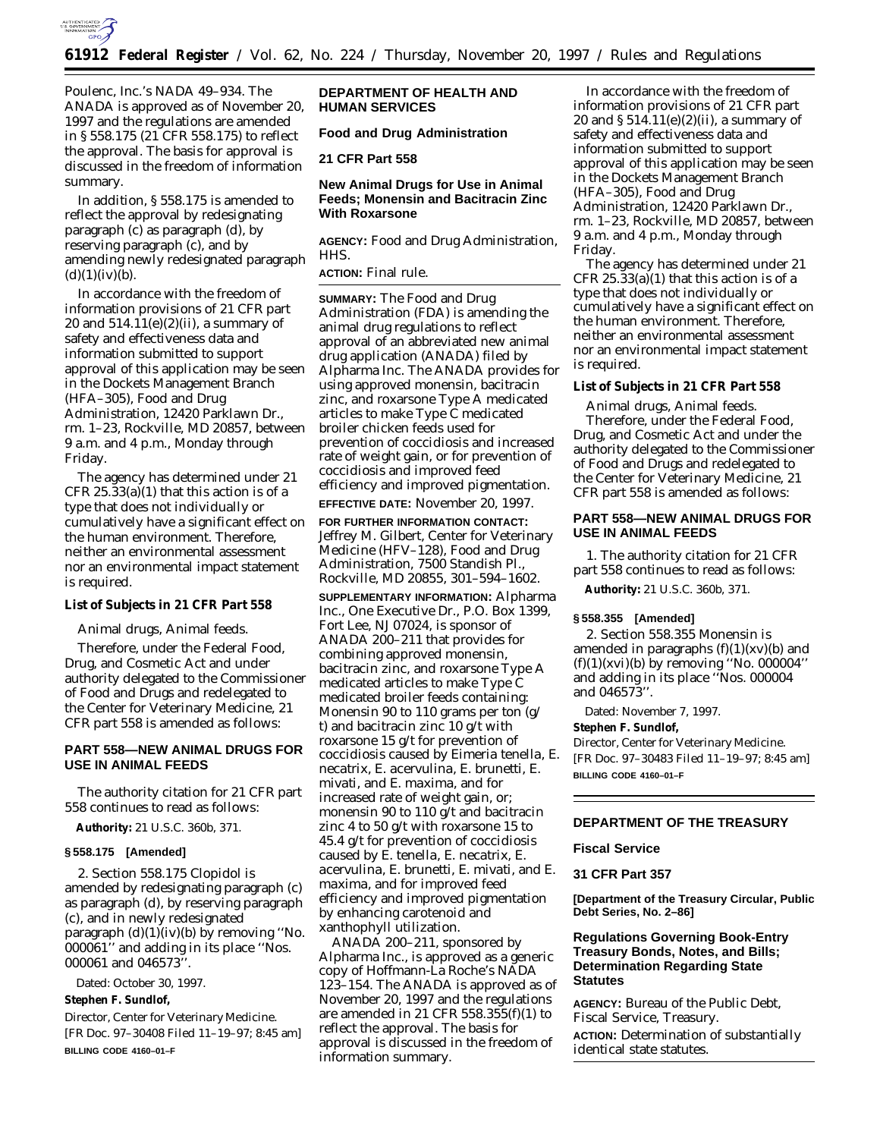

Poulenc, Inc.'s NADA 49–934. The ANADA is approved as of November 20, 1997 and the regulations are amended in § 558.175 (21 CFR 558.175) to reflect the approval. The basis for approval is discussed in the freedom of information summary.

In addition, § 558.175 is amended to reflect the approval by redesignating paragraph (c) as paragraph (d), by reserving paragraph (c), and by amending newly redesignated paragraph  $(d)(1)(iv)(b).$ 

In accordance with the freedom of information provisions of 21 CFR part 20 and  $514.11(e)(2)(ii)$ , a summary of safety and effectiveness data and information submitted to support approval of this application may be seen in the Dockets Management Branch (HFA–305), Food and Drug Administration, 12420 Parklawn Dr., rm. 1–23, Rockville, MD 20857, between 9 a.m. and 4 p.m., Monday through Friday.

The agency has determined under 21 CFR  $25.33(a)(1)$  that this action is of a type that does not individually or cumulatively have a significant effect on the human environment. Therefore, neither an environmental assessment nor an environmental impact statement is required.

#### **List of Subjects in 21 CFR Part 558**

Animal drugs, Animal feeds.

Therefore, under the Federal Food, Drug, and Cosmetic Act and under authority delegated to the Commissioner of Food and Drugs and redelegated to the Center for Veterinary Medicine, 21 CFR part 558 is amended as follows:

# **PART 558—NEW ANIMAL DRUGS FOR USE IN ANIMAL FEEDS**

The authority citation for 21 CFR part 558 continues to read as follows:

**Authority:** 21 U.S.C. 360b, 371.

#### **§ 558.175 [Amended]**

2. Section 558.175 *Clopidol* is amended by redesignating paragraph (c) as paragraph (d), by reserving paragraph (c), and in newly redesignated paragraph (d)(1)(iv)(*b*) by removing ''No. 000061'' and adding in its place ''Nos. 000061 and 046573''.

Dated: October 30, 1997.

#### **Stephen F. Sundlof,**

*Director, Center for Veterinary Medicine.* [FR Doc. 97–30408 Filed 11–19–97; 8:45 am] **BILLING CODE 4160–01–F**

#### **DEPARTMENT OF HEALTH AND HUMAN SERVICES**

### **Food and Drug Administration**

**21 CFR Part 558**

# **New Animal Drugs for Use in Animal Feeds; Monensin and Bacitracin Zinc With Roxarsone**

**AGENCY:** Food and Drug Administration, HHS.

**ACTION:** Final rule.

**SUMMARY:** The Food and Drug Administration (FDA) is amending the animal drug regulations to reflect approval of an abbreviated new animal drug application (ANADA) filed by Alpharma Inc. The ANADA provides for using approved monensin, bacitracin zinc, and roxarsone Type A medicated articles to make Type C medicated broiler chicken feeds used for prevention of coccidiosis and increased rate of weight gain, or for prevention of coccidiosis and improved feed efficiency and improved pigmentation. **EFFECTIVE DATE:** November 20, 1997.

**FOR FURTHER INFORMATION CONTACT:** Jeffrey M. Gilbert, Center for Veterinary Medicine (HFV–128), Food and Drug Administration, 7500 Standish Pl., Rockville, MD 20855, 301–594–1602.

**SUPPLEMENTARY INFORMATION:** Alpharma Inc., One Executive Dr., P.O. Box 1399, Fort Lee, NJ 07024, is sponsor of ANADA 200–211 that provides for combining approved monensin, bacitracin zinc, and roxarsone Type A medicated articles to make Type C medicated broiler feeds containing: Monensin 90 to 110 grams per ton (g/ t) and bacitracin zinc 10 g/t with roxarsone 15 g/t for prevention of coccidiosis caused by *Eimeria tenella*, *E. necatrix*, *E. acervulina*, *E. brunetti*, *E. mivati*, and *E. maxima*, and for increased rate of weight gain, or; monensin 90 to 110 g/t and bacitracin zinc 4 to 50 g/t with roxarsone 15 to 45.4 g/t for prevention of coccidiosis caused by *E. tenella*, *E. necatrix*, *E. acervulina*, *E. brunetti*, *E. mivati*, and *E. maxima*, and for improved feed efficiency and improved pigmentation by enhancing carotenoid and xanthophyll utilization.

ANADA 200–211, sponsored by Alpharma Inc., is approved as a generic copy of Hoffmann-La Roche's NADA 123–154. The ANADA is approved as of November 20, 1997 and the regulations are amended in 21 CFR 558.355(f)(1) to reflect the approval. The basis for approval is discussed in the freedom of information summary.

In accordance with the freedom of information provisions of 21 CFR part 20 and  $\S 514.11(e)(2)(ii)$ , a summary of safety and effectiveness data and information submitted to support approval of this application may be seen in the Dockets Management Branch (HFA–305), Food and Drug Administration, 12420 Parklawn Dr., rm. 1–23, Rockville, MD 20857, between 9 a.m. and 4 p.m., Monday through Friday.

The agency has determined under 21 CFR  $25.33(a)(1)$  that this action is of a type that does not individually or cumulatively have a significant effect on the human environment. Therefore, neither an environmental assessment nor an environmental impact statement is required.

# **List of Subjects in 21 CFR Part 558**

Animal drugs, Animal feeds. Therefore, under the Federal Food, Drug, and Cosmetic Act and under the authority delegated to the Commissioner of Food and Drugs and redelegated to the Center for Veterinary Medicine, 21 CFR part 558 is amended as follows:

### **PART 558—NEW ANIMAL DRUGS FOR USE IN ANIMAL FEEDS**

1. The authority citation for 21 CFR part 558 continues to read as follows:

**Authority:** 21 U.S.C. 360b, 371.

#### **§ 558.355 [Amended]**

2. Section 558.355 *Monensin* is amended in paragraphs (f)(1)(xv)(*b*) and (f)(1)(xvi)(*b*) by removing ''No. 000004'' and adding in its place ''Nos. 000004 and 046573''.

Dated: November 7, 1997.

#### **Stephen F. Sundlof,**

*Director, Center for Veterinary Medicine.* [FR Doc. 97–30483 Filed 11–19–97; 8:45 am] **BILLING CODE 4160–01–F**

# **DEPARTMENT OF THE TREASURY**

#### **Fiscal Service**

#### **31 CFR Part 357**

**[Department of the Treasury Circular, Public Debt Series, No. 2–86]**

# **Regulations Governing Book-Entry Treasury Bonds, Notes, and Bills; Determination Regarding State Statutes**

**AGENCY:** Bureau of the Public Debt, Fiscal Service, Treasury.

**ACTION:** Determination of substantially identical state statutes.